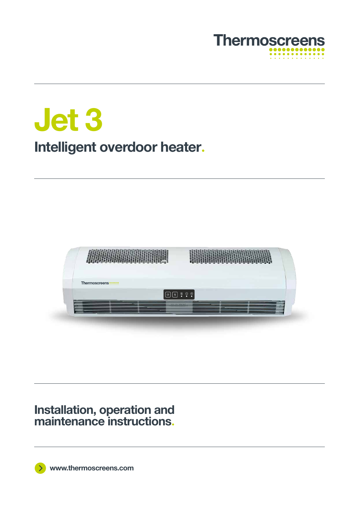

**Jet 3. Intelligent overdoor heater.**



## **Installation, operation and maintenance instructions.**

**www.thermoscreens.com**

 $\rightarrow$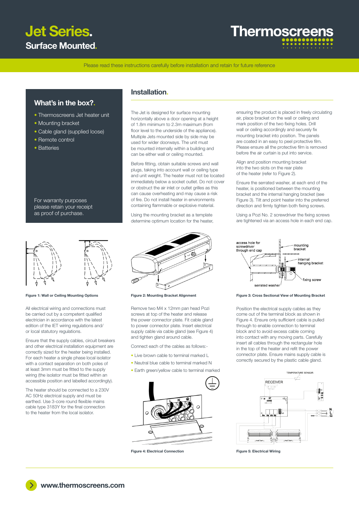# **Jet Series. Surface Mounted.**

# **Thermoscreer**

Please read these instructions carefully before installation and retain for future reference

## What's in the box?**.**

- Thermoscreens Jet heater unit
- Mounting bracket
- Cable gland (supplied loose)
- Remote control
- Batteries

For warranty purposes please retain your receipt as proof of purchase.



All electrical wiring and connections must be carried out by a competent qualified electrician in accordance with the latest edition of the IET wiring regulations and/ or local statutory regulations.

Ensure that the supply cables, circuit breakers and other electrical installation equipment are correctly sized for the heater being installed. For each heater a single phase local isolator with a contact separation on both poles of at least 3mm must be fitted to the supply wiring (the isolator must be fitted within an accessible position and labelled accordingly).

The heater should be connected to a 230V AC 50Hz electrical supply and must be earthed. Use 3-core round flexible mains cable type 3183Y for the final connection to the heater from the local isolator.

### Installation**.**

The Jet is designed for surface mounting horizontally above a door opening at a height of 1.8m minimum to 2.3m maximum (from floor level to the underside of the appliance). Multiple Jets mounted side by side may be used for wider doorways. The unit must be mounted internally within a building and can be either wall or ceiling mounted.

Before fitting, obtain suitable screws and wall plugs, taking into account wall or ceiling type and unit weight. The heater must not be located immediately below a socket outlet. Do not cover or obstruct the air inlet or outlet grilles as this can cause overheating and may cause a risk of fire. Do not install heater in environments containing flammable or explosive material.

Using the mounting bracket as a template determine optimum location for the heater,



Remove two M4 x 12mm pan head Pozi screws at top of the heater and release the power connector plate. Fit cable gland to power connector plate. Insert electrical supply cable via cable gland (see Figure 4) and tighten gland around cable.

Connect each of the cables as follows:-

- Live brown cable to terminal marked L
- Neutral blue cable to terminal marked N
- Earth green/yellow cable to terminal marked



Figure 4: Electrical Connection Figure 5: Electrical Wiring

ensuring the product is placed in freely circulating air, place bracket on the wall or ceiling and mark position of the two fixing holes. Drill wall or ceiling accordingly and securely fix mounting bracket into position. The panels are coated in an easy to peel protective film. Please ensure all the protective film is removed before the air curtain is put into service.

Align and position mounting bracket into the two slots on the rear plate of the heater (refer to Figure 2).

Ensure the serrated washer, at each end of the heater, is positioned between the mounting bracket and the internal hanging bracket (see Figure 3). Tilt and point heater into the preferred direction and firmly tighten both fixing screws.

Using a Pozi No. 2 screwdriver the fixing screws are tightened via an access hole in each end cap.



#### Figure 1: Wall or Ceiling Mounting Options Figure 2: Mounting Bracket Alignment Figure 3: Cross Sectional View of Mounting Bracket

Position the electrical supply cables as they come out of the terminal block as shown in Figure 4. Ensure only sufficient cable is pulled through to enable connection to terminal block and to avoid excess cable coming into contact with any moving parts. Carefully insert all cables through the rectangular hole in the top of the heater and refit the power connector plate. Ensure mains supply cable is correctly secured by the plastic cable gland.

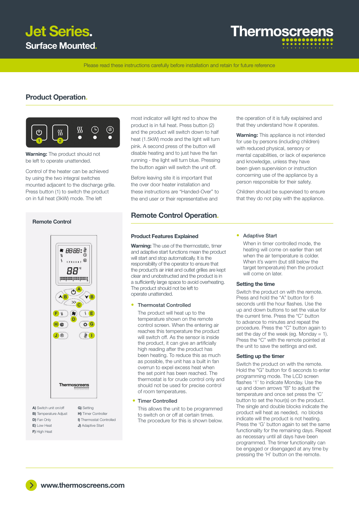

# **Thermoscree**

Please read these instructions carefully before installation and retain for future reference

### Product Operation**.**



Warning: The product should not be left to operate unattended.

Control of the heater can be achieved by using the two integral switches mounted adjacent to the discharge grille. Press button (1) to switch the product on in full heat (3kW) mode. The left

**Remote Control**



- **B)** Temperature Adjust
- D) Fan Only
- E) Low Heat
- F) High Heat
- I) Thermostat Controlled J) Adaptive Start
- 

most indicator will light red to show the product is in full heat. Press button (2) and the product will switch down to half heat (1.5kW) mode and the light will turn pink. A second press of the button will disable heating and to just have the fan running - the light will turn blue. Pressing the button again will switch the unit off.

Before leaving site it is important that the over door heater installation and these instructions are "Handed-Over" to the end user or their representative and

## Remote Control Operation**.**

#### Product Features Explained

Warning: The use of the thermostatic, timer and adaptive start functions mean the product will start and stop automatically. It is the responsibility of the operator to ensure that the product's air inlet and outlet grilles are kept clear and unobstructed and the product is in a sufficiently large space to avoid overheating. The product should not be left to operate unattended.

#### • Thermostat Controlled

 The product will heat up to the temperature shown on the remote control screen. When the entering air reaches this temperature the product will switch off. As the sensor is inside the product, it can give an artificially high reading after the product has been heating. To reduce this as much as possible, the unit has a built in fan overrun to expel excess heat when the set point has been reached. The thermostat is for crude control only and should not be used for precise control of room temperatures.

#### • Timer Controlled

 This allows the unit to be programmed to switch on or off at certain times. The procedure for this is shown below. the operation of it is fully explained and that they understand how it operates.

**Warning:** This appliance is not intended for use by persons (including children) with reduced physical, sensory or mental capabilities, or lack of experience and knowledge, unless they have been given supervision or instruction concerning use of the appliance by a person responsible for their safety.

Children should be supervised to ensure that they do not play with the appliance.

#### • Adaptive Start

 When in timer controlled mode, the heating will come on earlier than set when the air temperature is colder. When it's warm (but still below the target temperature) then the product will come on later.

#### Setting the time

Switch the product on with the remote. Press and hold the "A" button for 6 seconds until the hour flashes. Use the up and down buttons to set the value for the current time. Press the "C" button to advance to minutes and repeat the procedure. Press the "C" button again to set the day of the week (eq. Monday = 1). Press the "C" with the remote pointed at the unit to save the settings and exit.

#### Setting up the timer

Switch the product on with the remote. Hold the "G" button for 6 seconds to enter programming mode. The LCD screen flashes '1' to indicate Monday. Use the up and down arrows "B" to adjust the temperature and once set press the 'C' button to set the hour(s) on the product. The single and double blocks indicate the product will heat as needed, no blocks indicate will the product is not heating. Press the 'G' button again to set the same functionality for the remaining days. Repeat as necessary until all days have been programmed. The timer functionality can be engaged or disengaged at any time by pressing the 'H' button on the remote.